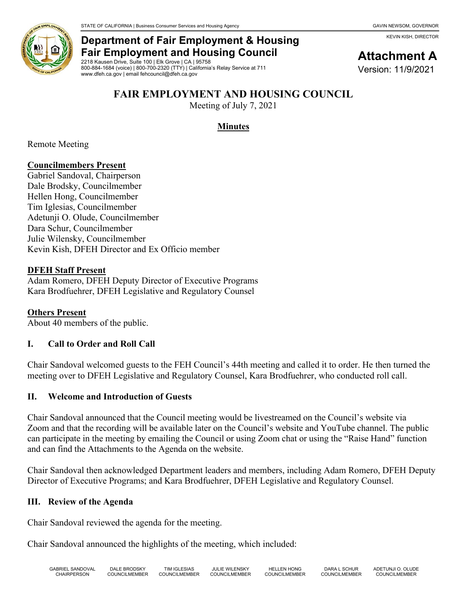KEVIN KISH, DIRECTOR



# **Department of Fair Employment & Housing Fair Employment and Housing Council**

2218 Kausen Drive, Suite 100 | Elk Grove | CA | 95758 800-884-1684 (voice) | 800-700-2320 (TTY) | California's Relay Service at 711 www.dfeh.ca.gov | email fehcouncil@dfeh.ca.gov

# **Attachment A**

Version: 11/9/2021

#### **FAIR EMPLOYMENT AND HOUSING COUNCIL**

Meeting of July 7, 2021

## **Minutes**

Remote Meeting

#### **Councilmembers Present**

Gabriel Sandoval, Chairperson Dale Brodsky, Councilmember Hellen Hong, Councilmember Tim Iglesias, Councilmember Adetunji O. Olude, Councilmember Dara Schur, Councilmember Julie Wilensky, Councilmember Kevin Kish, DFEH Director and Ex Officio member

#### **DFEH Staff Present**

Adam Romero, DFEH Deputy Director of Executive Programs Kara Brodfuehrer, DFEH Legislative and Regulatory Counsel

## **Others Present**

About 40 members of the public.

## **I. Call to Order and Roll Call**

Chair Sandoval welcomed guests to the FEH Council's 44th meeting and called it to order. He then turned the meeting over to DFEH Legislative and Regulatory Counsel, Kara Brodfuehrer, who conducted roll call.

#### **II. Welcome and Introduction of Guests**

Chair Sandoval announced that the Council meeting would be livestreamed on the Council's website via Zoom and that the recording will be available later on the Council's website and YouTube channel. The public can participate in the meeting by emailing the Council or using Zoom chat or using the "Raise Hand" function and can find the Attachments to the Agenda on the website.

Chair Sandoval then acknowledged Department leaders and members, including Adam Romero, DFEH Deputy Director of Executive Programs; and Kara Brodfuehrer, DFEH Legislative and Regulatory Counsel.

#### **III. Review of the Agenda**

Chair Sandoval reviewed the agenda for the meeting.

Chair Sandoval announced the highlights of the meeting, which included: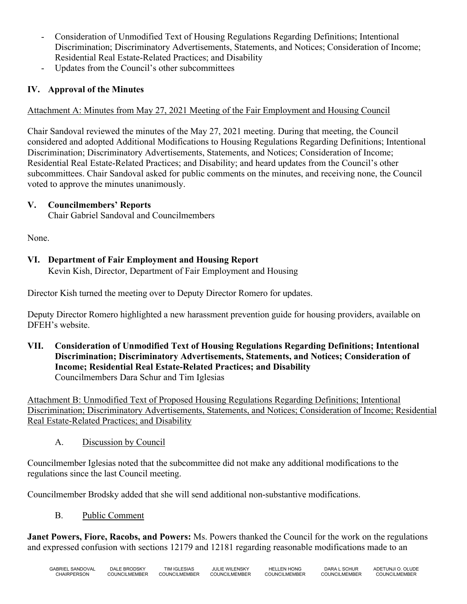- Consideration of Unmodified Text of Housing Regulations Regarding Definitions; Intentional Discrimination; Discriminatory Advertisements, Statements, and Notices; Consideration of Income; Residential Real Estate-Related Practices; and Disability
- Updates from the Council's other subcommittees

## **IV. Approval of the Minutes**

#### Attachment A: Minutes from May 27, 2021 Meeting of the Fair Employment and Housing Council

Chair Sandoval reviewed the minutes of the May 27, 2021 meeting. During that meeting, the Council considered and adopted Additional Modifications to Housing Regulations Regarding Definitions; Intentional Discrimination; Discriminatory Advertisements, Statements, and Notices; Consideration of Income; Residential Real Estate-Related Practices; and Disability; and heard updates from the Council's other subcommittees. Chair Sandoval asked for public comments on the minutes, and receiving none, the Council voted to approve the minutes unanimously.

#### **V. Councilmembers' Reports**

Chair Gabriel Sandoval and Councilmembers

None.

## **VI. Department of Fair Employment and Housing Report**

Kevin Kish, Director, Department of Fair Employment and Housing

Director Kish turned the meeting over to Deputy Director Romero for updates.

Deputy Director Romero highlighted a new harassment prevention guide for housing providers, available on DFEH's website.

**VII. Consideration of Unmodified Text of Housing Regulations Regarding Definitions; Intentional Discrimination; Discriminatory Advertisements, Statements, and Notices; Consideration of Income; Residential Real Estate-Related Practices; and Disability** Councilmembers Dara Schur and Tim Iglesias

Attachment B: Unmodified Text of Proposed Housing Regulations Regarding Definitions; Intentional Discrimination; Discriminatory Advertisements, Statements, and Notices; Consideration of Income; Residential Real Estate-Related Practices; and Disability

A. Discussion by Council

Councilmember Iglesias noted that the subcommittee did not make any additional modifications to the regulations since the last Council meeting.

Councilmember Brodsky added that she will send additional non-substantive modifications.

B. Public Comment

**Janet Powers, Fiore, Racobs, and Powers:** Ms. Powers thanked the Council for the work on the regulations and expressed confusion with sections 12179 and 12181 regarding reasonable modifications made to an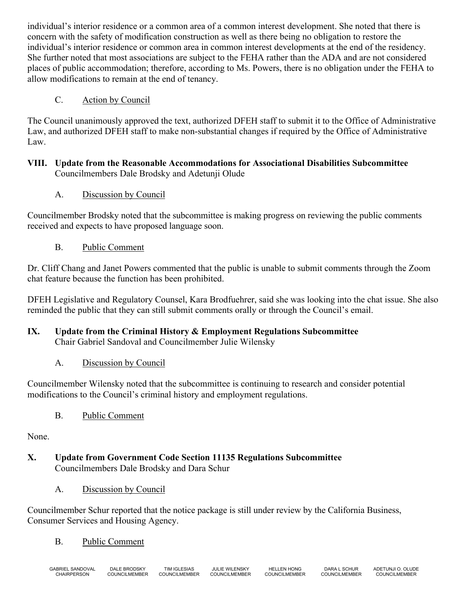individual's interior residence or a common area of a common interest development. She noted that there is concern with the safety of modification construction as well as there being no obligation to restore the individual's interior residence or common area in common interest developments at the end of the residency. She further noted that most associations are subject to the FEHA rather than the ADA and are not considered places of public accommodation; therefore, according to Ms. Powers, there is no obligation under the FEHA to allow modifications to remain at the end of tenancy.

## C. Action by Council

The Council unanimously approved the text, authorized DFEH staff to submit it to the Office of Administrative Law, and authorized DFEH staff to make non-substantial changes if required by the Office of Administrative Law.

#### **VIII. Update from the Reasonable Accommodations for Associational Disabilities Subcommittee** Councilmembers Dale Brodsky and Adetunji Olude

A. Discussion by Council

Councilmember Brodsky noted that the subcommittee is making progress on reviewing the public comments received and expects to have proposed language soon.

B. Public Comment

Dr. Cliff Chang and Janet Powers commented that the public is unable to submit comments through the Zoom chat feature because the function has been prohibited.

DFEH Legislative and Regulatory Counsel, Kara Brodfuehrer, said she was looking into the chat issue. She also reminded the public that they can still submit comments orally or through the Council's email.

# **IX. Update from the Criminal History & Employment Regulations Subcommittee** Chair Gabriel Sandoval and Councilmember Julie Wilensky

A. Discussion by Council

Councilmember Wilensky noted that the subcommittee is continuing to research and consider potential modifications to the Council's criminal history and employment regulations.

B. Public Comment

None.

- **X. Update from Government Code Section 11135 Regulations Subcommittee** Councilmembers Dale Brodsky and Dara Schur
	- A. Discussion by Council

Councilmember Schur reported that the notice package is still under review by the California Business, Consumer Services and Housing Agency.

# B. Public Comment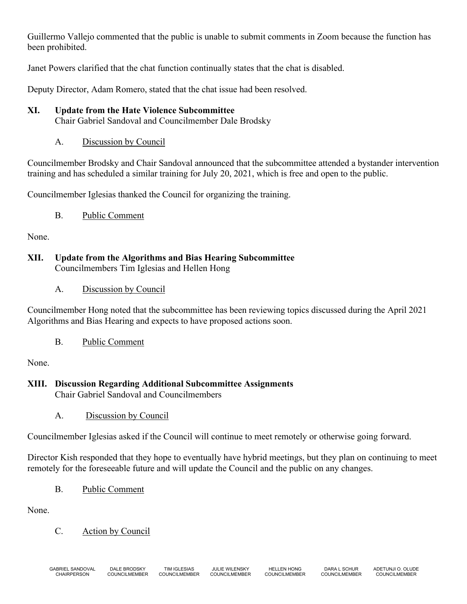Guillermo Vallejo commented that the public is unable to submit comments in Zoom because the function has been prohibited.

Janet Powers clarified that the chat function continually states that the chat is disabled.

Deputy Director, Adam Romero, stated that the chat issue had been resolved.

#### **XI. Update from the Hate Violence Subcommittee**

Chair Gabriel Sandoval and Councilmember Dale Brodsky

A. Discussion by Council

Councilmember Brodsky and Chair Sandoval announced that the subcommittee attended a bystander intervention training and has scheduled a similar training for July 20, 2021, which is free and open to the public.

Councilmember Iglesias thanked the Council for organizing the training.

#### B. Public Comment

None.

## **XII. Update from the Algorithms and Bias Hearing Subcommittee** Councilmembers Tim Iglesias and Hellen Hong

A. Discussion by Council

Councilmember Hong noted that the subcommittee has been reviewing topics discussed during the April 2021 Algorithms and Bias Hearing and expects to have proposed actions soon.

B. Public Comment

None.

#### **XIII. Discussion Regarding Additional Subcommittee Assignments** Chair Gabriel Sandoval and Councilmembers

A. Discussion by Council

Councilmember Iglesias asked if the Council will continue to meet remotely or otherwise going forward.

Director Kish responded that they hope to eventually have hybrid meetings, but they plan on continuing to meet remotely for the foreseeable future and will update the Council and the public on any changes.

B. Public Comment

None.

C. Action by Council